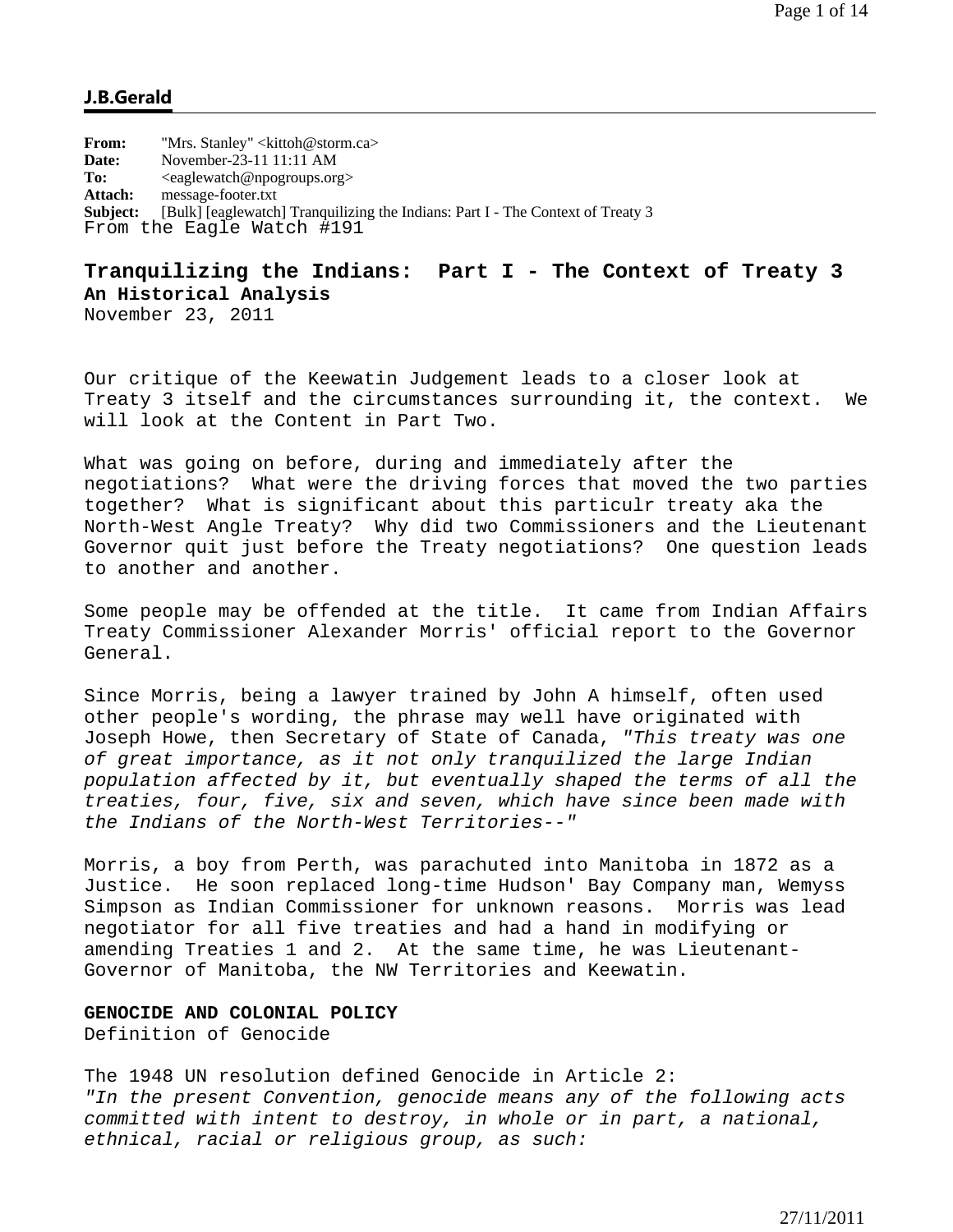## **J.B.Gerald**

**From:** "Mrs. Stanley" <kittoh@storm.ca> **Date:** November-23-11 11:11 AM To:  $\langle \text{eaglewatch@npogroups.org} \rangle$ **Attach:** message-footer.txt **Subject:** [Bulk] [eaglewatch] Tranquilizing the Indians: Part I - The Context of Treaty 3 From the Eagle Watch #191

# **Tranquilizing the Indians: Part I - The Context of Treaty 3 An Historical Analysis**

November 23, 2011

Our critique of the Keewatin Judgement leads to a closer look at Treaty 3 itself and the circumstances surrounding it, the context. We will look at the Content in Part Two.

What was going on before, during and immediately after the negotiations? What were the driving forces that moved the two parties together? What is significant about this particulr treaty aka the North-West Angle Treaty? Why did two Commissioners and the Lieutenant Governor quit just before the Treaty negotiations? One question leads to another and another.

Some people may be offended at the title. It came from Indian Affairs Treaty Commissioner Alexander Morris' official report to the Governor General.

Since Morris, being a lawyer trained by John A himself, often used other people's wording, the phrase may well have originated with Joseph Howe, then Secretary of State of Canada, *"This treaty was one of great importance, as it not only tranquilized the large Indian population affected by it, but eventually shaped the terms of all the treaties, four, five, six and seven, which have since been made with the Indians of the North-West Territories--"* 

Morris, a boy from Perth, was parachuted into Manitoba in 1872 as a Justice. He soon replaced long-time Hudson' Bay Company man, Wemyss Simpson as Indian Commissioner for unknown reasons. Morris was lead negotiator for all five treaties and had a hand in modifying or amending Treaties 1 and 2. At the same time, he was Lieutenant-Governor of Manitoba, the NW Territories and Keewatin.

## **GENOCIDE AND COLONIAL POLICY**

Definition of Genocide

The 1948 UN resolution defined Genocide in Article 2: *"In the present Convention, genocide means any of the following acts committed with intent to destroy, in whole or in part, a national, ethnical, racial or religious group, as such:*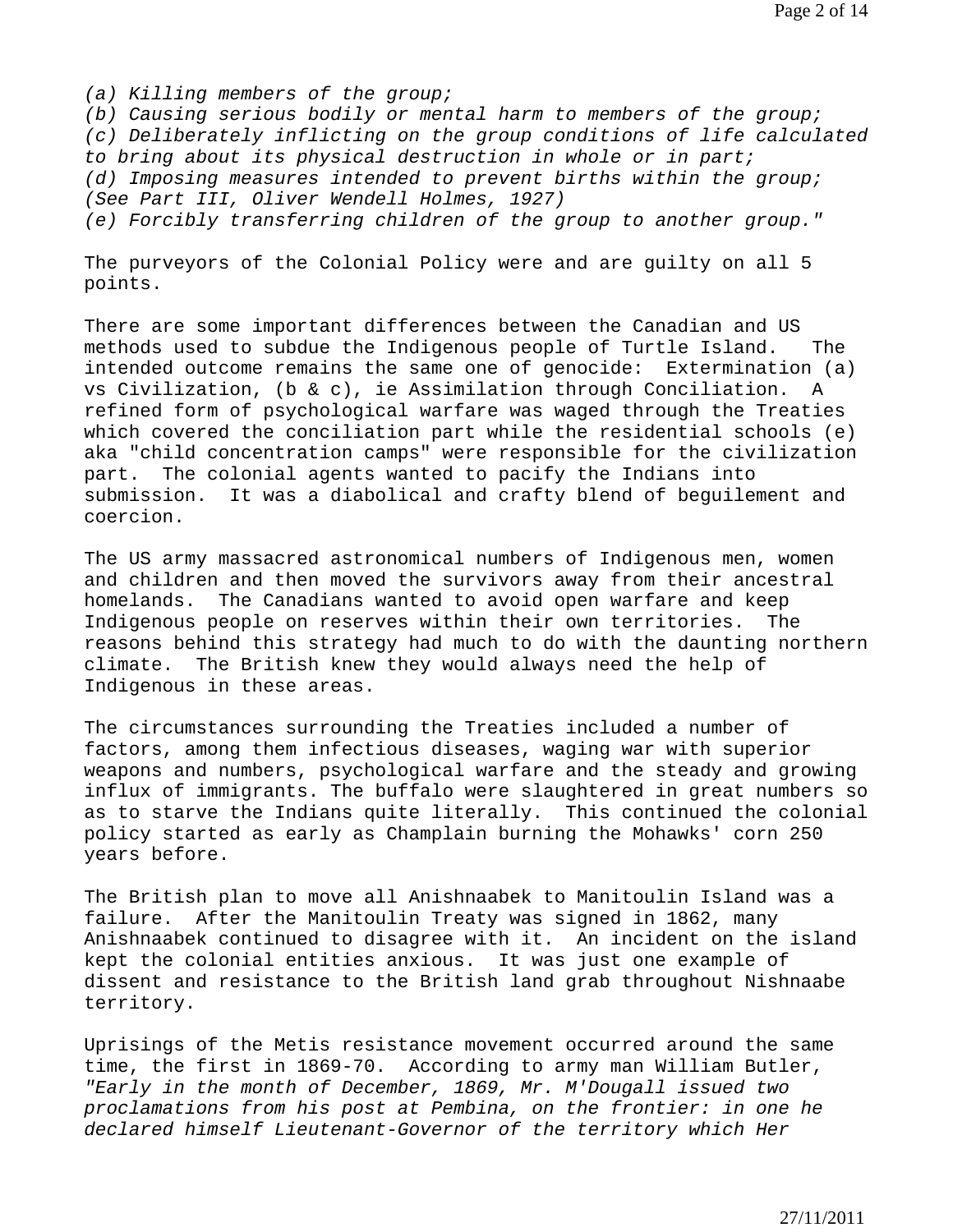*(a) Killing members of the group;* 

*(b) Causing serious bodily or mental harm to members of the group; (c) Deliberately inflicting on the group conditions of life calculated to bring about its physical destruction in whole or in part; (d) Imposing measures intended to prevent births within the group; (See Part III, Oliver Wendell Holmes, 1927) (e) Forcibly transferring children of the group to another group."* 

The purveyors of the Colonial Policy were and are guilty on all 5 points.

There are some important differences between the Canadian and US methods used to subdue the Indigenous people of Turtle Island. The intended outcome remains the same one of genocide: Extermination (a) vs Civilization, (b & c), ie Assimilation through Conciliation. refined form of psychological warfare was waged through the Treaties which covered the conciliation part while the residential schools (e) aka "child concentration camps" were responsible for the civilization part. The colonial agents wanted to pacify the Indians into submission. It was a diabolical and crafty blend of beguilement and coercion.

The US army massacred astronomical numbers of Indigenous men, women and children and then moved the survivors away from their ancestral homelands. The Canadians wanted to avoid open warfare and keep Indigenous people on reserves within their own territories. The reasons behind this strategy had much to do with the daunting northern climate. The British knew they would always need the help of Indigenous in these areas.

The circumstances surrounding the Treaties included a number of factors, among them infectious diseases, waging war with superior weapons and numbers, psychological warfare and the steady and growing influx of immigrants. The buffalo were slaughtered in great numbers so as to starve the Indians quite literally. This continued the colonial policy started as early as Champlain burning the Mohawks' corn 250 years before.

The British plan to move all Anishnaabek to Manitoulin Island was a failure. After the Manitoulin Treaty was signed in 1862, many Anishnaabek continued to disagree with it. An incident on the island kept the colonial entities anxious. It was just one example of dissent and resistance to the British land grab throughout Nishnaabe territory.

Uprisings of the Metis resistance movement occurred around the same time, the first in 1869-70. According to army man William Butler, *"Early in the month of December, 1869, Mr. M'Dougall issued two proclamations from his post at Pembina, on the frontier: in one he declared himself Lieutenant-Governor of the territory which Her*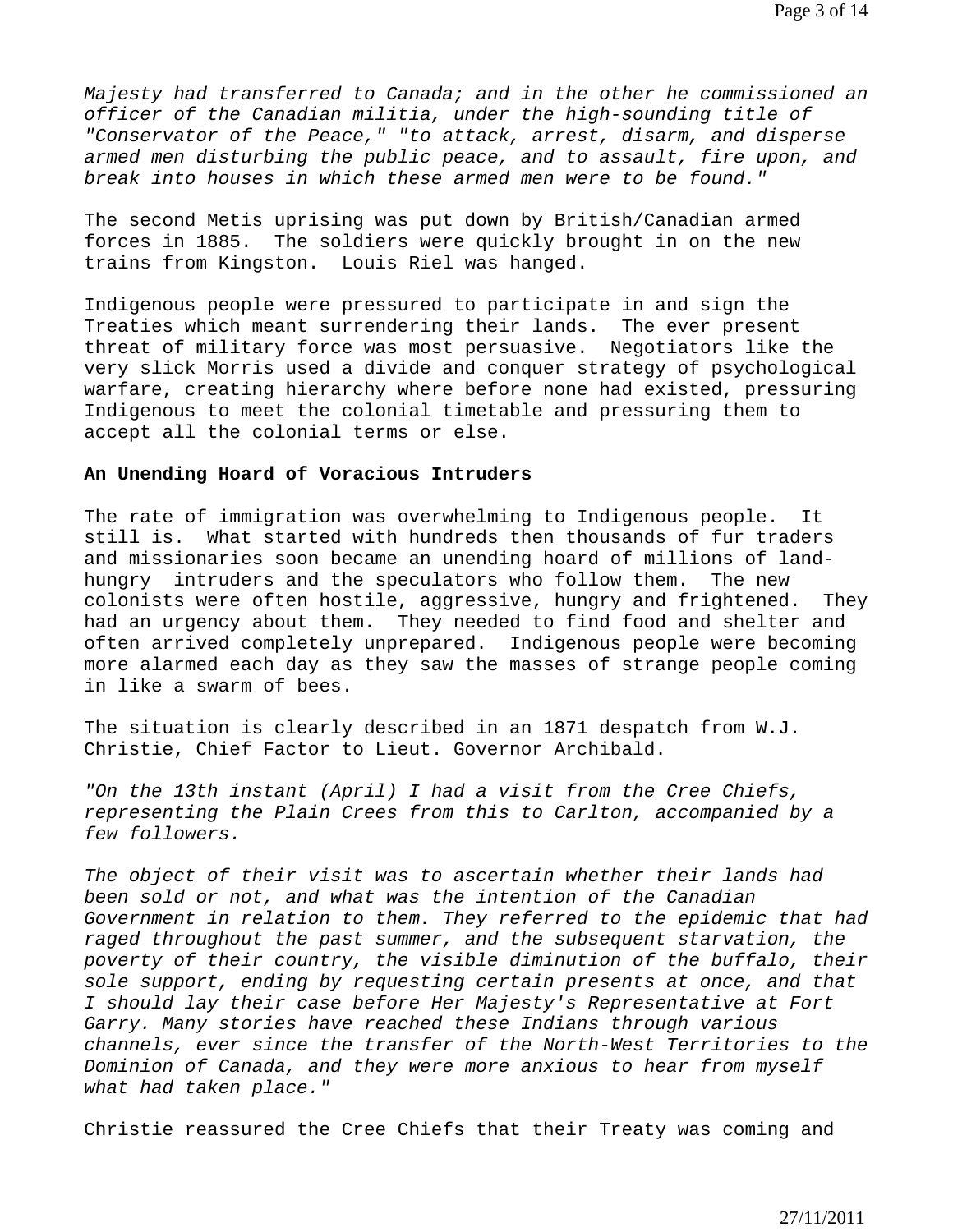*Majesty had transferred to Canada; and in the other he commissioned an officer of the Canadian militia, under the high-sounding title of "Conservator of the Peace," "to attack, arrest, disarm, and disperse armed men disturbing the public peace, and to assault, fire upon, and break into houses in which these armed men were to be found."* 

The second Metis uprising was put down by British/Canadian armed forces in 1885. The soldiers were quickly brought in on the new trains from Kingston. Louis Riel was hanged.

Indigenous people were pressured to participate in and sign the Treaties which meant surrendering their lands. The ever present threat of military force was most persuasive. Negotiators like the very slick Morris used a divide and conquer strategy of psychological warfare, creating hierarchy where before none had existed, pressuring Indigenous to meet the colonial timetable and pressuring them to accept all the colonial terms or else.

#### **An Unending Hoard of Voracious Intruders**

The rate of immigration was overwhelming to Indigenous people. It still is. What started with hundreds then thousands of fur traders and missionaries soon became an unending hoard of millions of landhungry intruders and the speculators who follow them. The new colonists were often hostile, aggressive, hungry and frightened. They had an urgency about them. They needed to find food and shelter and often arrived completely unprepared. Indigenous people were becoming more alarmed each day as they saw the masses of strange people coming in like a swarm of bees.

The situation is clearly described in an 1871 despatch from W.J. Christie, Chief Factor to Lieut. Governor Archibald.

*"On the 13th instant (April) I had a visit from the Cree Chiefs, representing the Plain Crees from this to Carlton, accompanied by a few followers.* 

*The object of their visit was to ascertain whether their lands had been sold or not, and what was the intention of the Canadian Government in relation to them. They referred to the epidemic that had raged throughout the past summer, and the subsequent starvation, the poverty of their country, the visible diminution of the buffalo, their sole support, ending by requesting certain presents at once, and that I should lay their case before Her Majesty's Representative at Fort Garry. Many stories have reached these Indians through various channels, ever since the transfer of the North-West Territories to the Dominion of Canada, and they were more anxious to hear from myself what had taken place."* 

Christie reassured the Cree Chiefs that their Treaty was coming and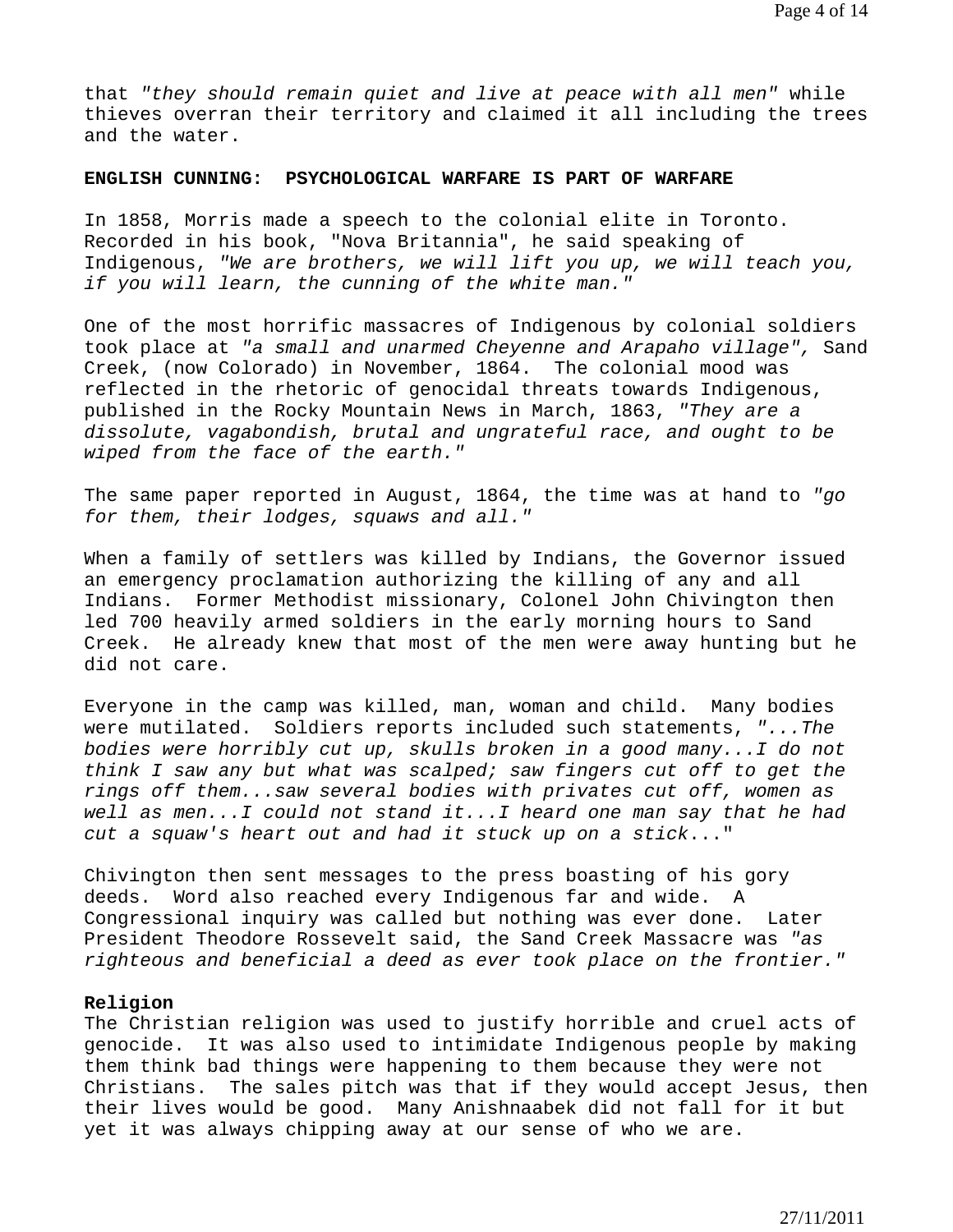that *"they should remain quiet and live at peace with all men"* while thieves overran their territory and claimed it all including the trees and the water.

## **ENGLISH CUNNING: PSYCHOLOGICAL WARFARE IS PART OF WARFARE**

In 1858, Morris made a speech to the colonial elite in Toronto. Recorded in his book, "Nova Britannia", he said speaking of Indigenous, *"We are brothers, we will lift you up, we will teach you, if you will learn, the cunning of the white man."* 

One of the most horrific massacres of Indigenous by colonial soldiers took place at *"a small and unarmed Cheyenne and Arapaho village",* Sand Creek, (now Colorado) in November, 1864. The colonial mood was reflected in the rhetoric of genocidal threats towards Indigenous, published in the Rocky Mountain News in March, 1863, *"They are a dissolute, vagabondish, brutal and ungrateful race, and ought to be wiped from the face of the earth."* 

The same paper reported in August, 1864, the time was at hand to *"go for them, their lodges, squaws and all."* 

When a family of settlers was killed by Indians, the Governor issued an emergency proclamation authorizing the killing of any and all Indians. Former Methodist missionary, Colonel John Chivington then led 700 heavily armed soldiers in the early morning hours to Sand Creek. He already knew that most of the men were away hunting but he did not care.

Everyone in the camp was killed, man, woman and child. Many bodies were mutilated. Soldiers reports included such statements, *"...The bodies were horribly cut up, skulls broken in a good many...I do not think I saw any but what was scalped; saw fingers cut off to get the rings off them...saw several bodies with privates cut off, women as well as men...I could not stand it...I heard one man say that he had cut a squaw's heart out and had it stuck up on a stick*..."

Chivington then sent messages to the press boasting of his gory deeds. Word also reached every Indigenous far and wide. A Congressional inquiry was called but nothing was ever done. Later President Theodore Rossevelt said, the Sand Creek Massacre was *"as righteous and beneficial a deed as ever took place on the frontier."* 

#### **Religion**

The Christian religion was used to justify horrible and cruel acts of genocide. It was also used to intimidate Indigenous people by making them think bad things were happening to them because they were not Christians. The sales pitch was that if they would accept Jesus, then their lives would be good. Many Anishnaabek did not fall for it but yet it was always chipping away at our sense of who we are.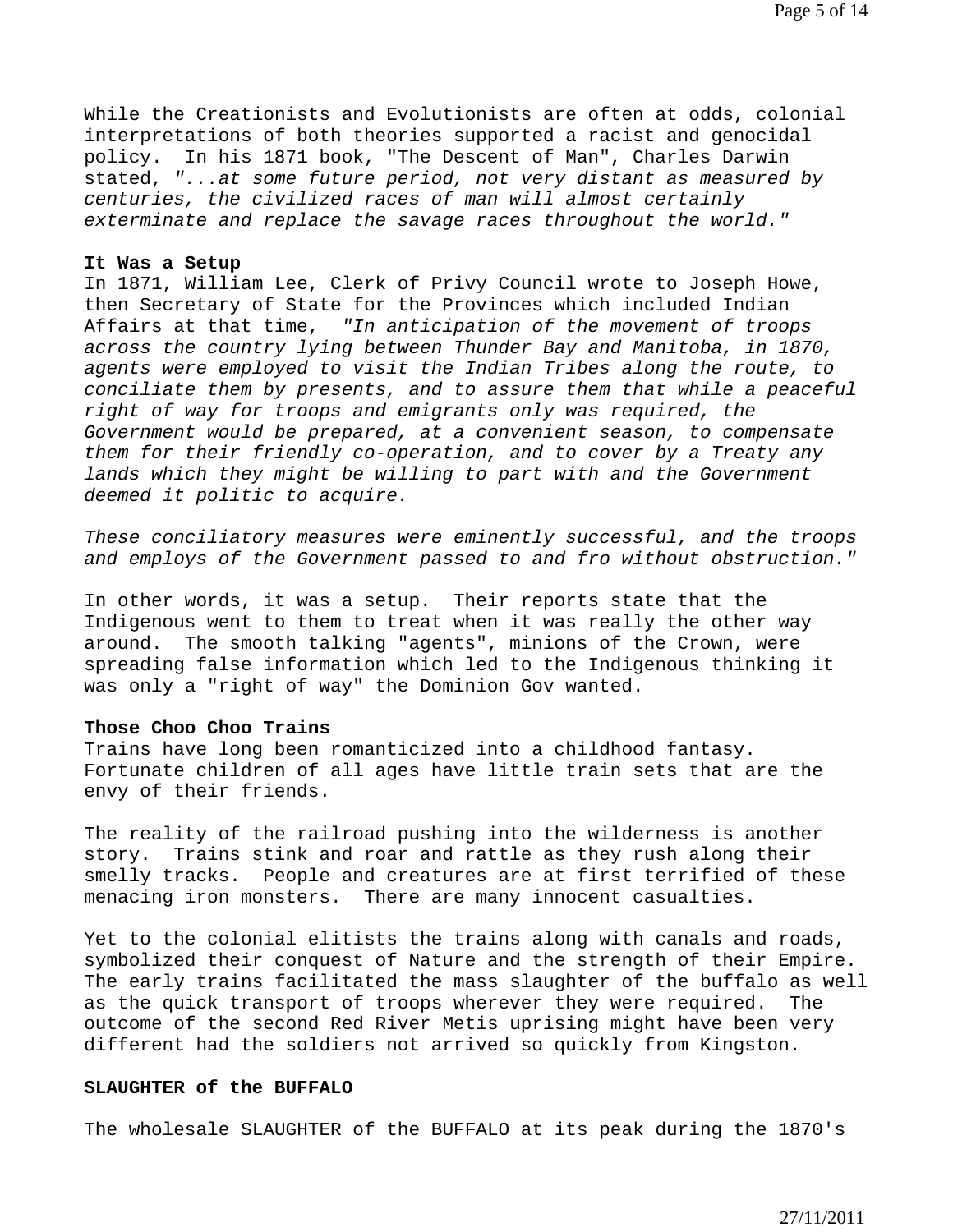While the Creationists and Evolutionists are often at odds, colonial interpretations of both theories supported a racist and genocidal policy. In his 1871 book, "The Descent of Man", Charles Darwin stated, *"...at some future period, not very distant as measured by centuries, the civilized races of man will almost certainly exterminate and replace the savage races throughout the world."*

#### **It Was a Setup**

In 1871, William Lee, Clerk of Privy Council wrote to Joseph Howe, then Secretary of State for the Provinces which included Indian Affairs at that time, *"In anticipation of the movement of troops across the country lying between Thunder Bay and Manitoba, in 1870, agents were employed to visit the Indian Tribes along the route, to conciliate them by presents, and to assure them that while a peaceful right of way for troops and emigrants only was required, the Government would be prepared, at a convenient season, to compensate them for their friendly co-operation, and to cover by a Treaty any*  lands which they might be willing to part with and the Government *deemed it politic to acquire.* 

*These conciliatory measures were eminently successful, and the troops and employs of the Government passed to and fro without obstruction."* 

In other words, it was a setup. Their reports state that the Indigenous went to them to treat when it was really the other way around. The smooth talking "agents", minions of the Crown, were spreading false information which led to the Indigenous thinking it was only a "right of way" the Dominion Gov wanted.

#### **Those Choo Choo Trains**

Trains have long been romanticized into a childhood fantasy. Fortunate children of all ages have little train sets that are the envy of their friends.

The reality of the railroad pushing into the wilderness is another story. Trains stink and roar and rattle as they rush along their smelly tracks. People and creatures are at first terrified of these menacing iron monsters. There are many innocent casualties.

Yet to the colonial elitists the trains along with canals and roads, symbolized their conquest of Nature and the strength of their Empire. The early trains facilitated the mass slaughter of the buffalo as well as the quick transport of troops wherever they were required. The outcome of the second Red River Metis uprising might have been very different had the soldiers not arrived so quickly from Kingston.

#### **SLAUGHTER of the BUFFALO**

The wholesale SLAUGHTER of the BUFFALO at its peak during the 1870's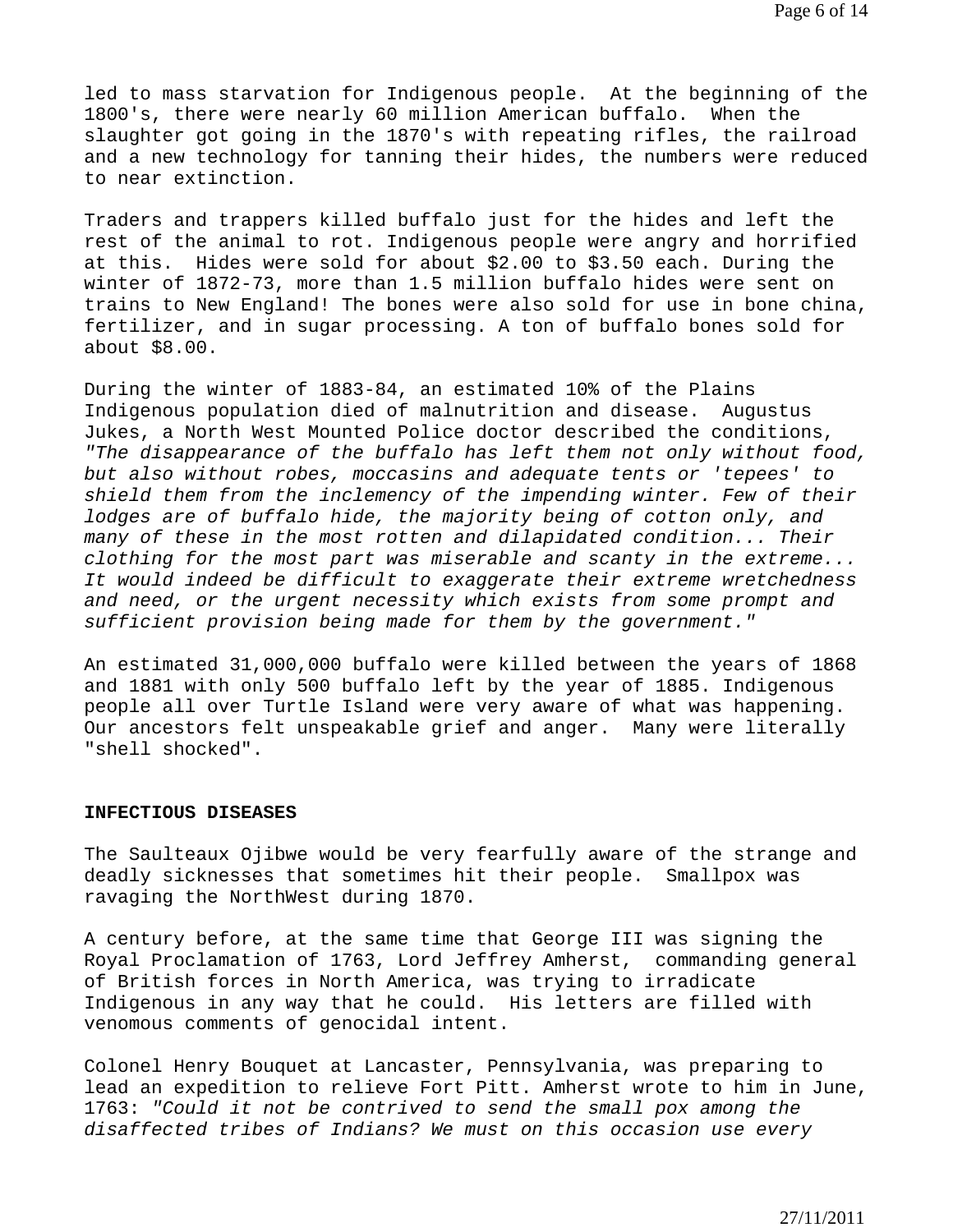led to mass starvation for Indigenous people. At the beginning of the 1800's, there were nearly 60 million American buffalo. When the slaughter got going in the 1870's with repeating rifles, the railroad and a new technology for tanning their hides, the numbers were reduced to near extinction.

Traders and trappers killed buffalo just for the hides and left the rest of the animal to rot. Indigenous people were angry and horrified at this. Hides were sold for about \$2.00 to \$3.50 each. During the winter of 1872-73, more than 1.5 million buffalo hides were sent on trains to New England! The bones were also sold for use in bone china, fertilizer, and in sugar processing. A ton of buffalo bones sold for about \$8.00.

During the winter of 1883-84, an estimated 10% of the Plains Indigenous population died of malnutrition and disease. Augustus Jukes, a North West Mounted Police doctor described the conditions, *"The disappearance of the buffalo has left them not only without food, but also without robes, moccasins and adequate tents or 'tepees' to shield them from the inclemency of the impending winter. Few of their lodges are of buffalo hide, the majority being of cotton only, and many of these in the most rotten and dilapidated condition... Their clothing for the most part was miserable and scanty in the extreme... It would indeed be difficult to exaggerate their extreme wretchedness and need, or the urgent necessity which exists from some prompt and sufficient provision being made for them by the government."* 

An estimated 31,000,000 buffalo were killed between the years of 1868 and 1881 with only 500 buffalo left by the year of 1885. Indigenous people all over Turtle Island were very aware of what was happening. Our ancestors felt unspeakable grief and anger. Many were literally "shell shocked".

#### **INFECTIOUS DISEASES**

The Saulteaux Ojibwe would be very fearfully aware of the strange and deadly sicknesses that sometimes hit their people. Smallpox was ravaging the NorthWest during 1870.

A century before, at the same time that George III was signing the Royal Proclamation of 1763, Lord Jeffrey Amherst, commanding general of British forces in North America, was trying to irradicate Indigenous in any way that he could. His letters are filled with venomous comments of genocidal intent.

Colonel Henry Bouquet at Lancaster, Pennsylvania, was preparing to lead an expedition to relieve Fort Pitt. Amherst wrote to him in June, 1763: *"Could it not be contrived to send the small pox among the disaffected tribes of Indians? We must on this occasion use every*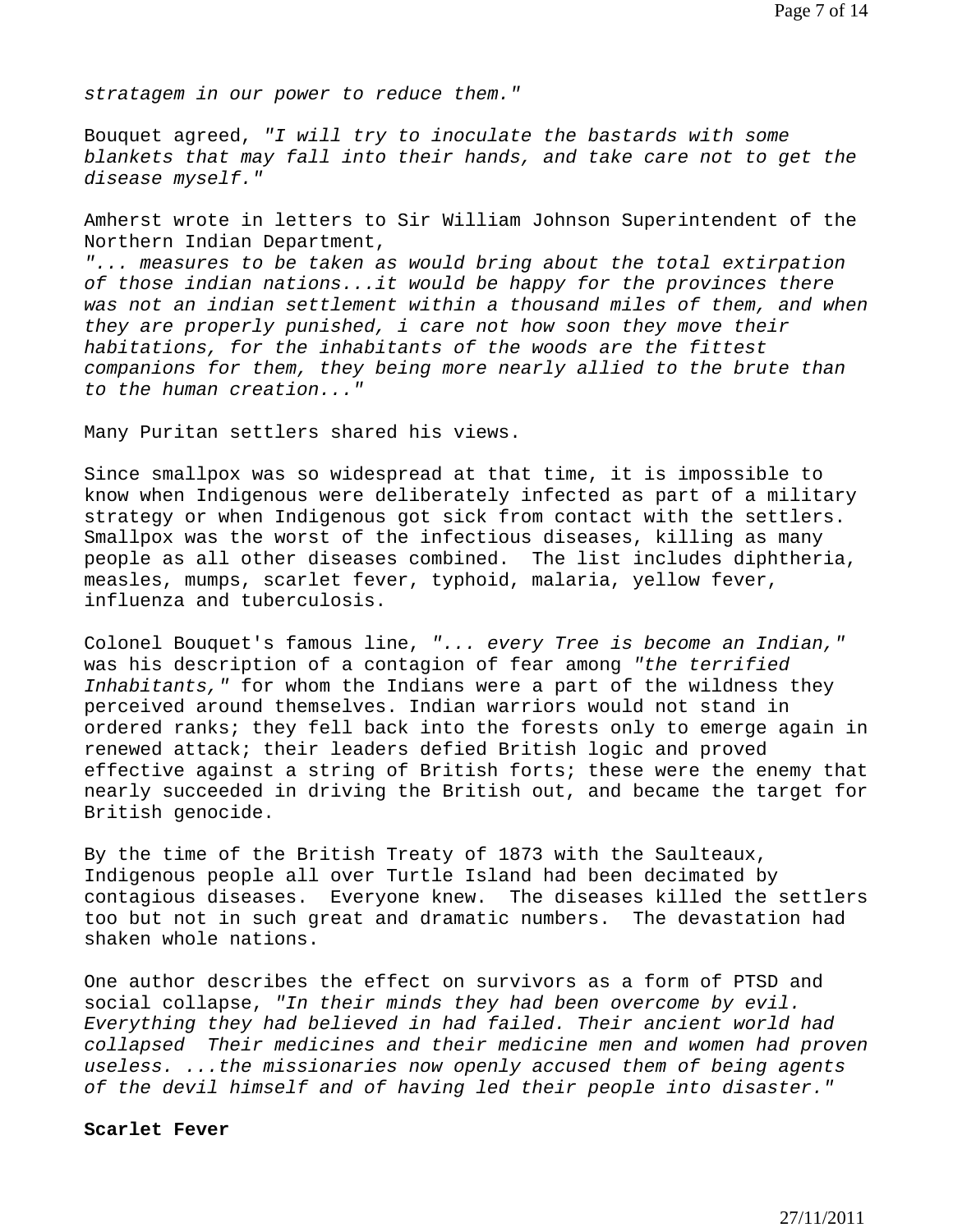*stratagem in our power to reduce them."* 

Bouquet agreed, *"I will try to inoculate the bastards with some blankets that may fall into their hands, and take care not to get the disease myself."* 

Amherst wrote in letters to Sir William Johnson Superintendent of the Northern Indian Department,

"... measures to be taken as would bring about the total extirpation *of those indian nations...it would be happy for the provinces there was not an indian settlement within a thousand miles of them, and when they are properly punished, i care not how soon they move their habitations, for the inhabitants of the woods are the fittest companions for them, they being more nearly allied to the brute than to the human creation..."* 

Many Puritan settlers shared his views.

Since smallpox was so widespread at that time, it is impossible to know when Indigenous were deliberately infected as part of a military strategy or when Indigenous got sick from contact with the settlers. Smallpox was the worst of the infectious diseases, killing as many people as all other diseases combined. The list includes diphtheria, measles, mumps, scarlet fever, typhoid, malaria, yellow fever, influenza and tuberculosis.

Colonel Bouquet's famous line, *"... every Tree is become an Indian,"* was his description of a contagion of fear among *"the terrified Inhabitants,"* for whom the Indians were a part of the wildness they perceived around themselves. Indian warriors would not stand in ordered ranks; they fell back into the forests only to emerge again in renewed attack; their leaders defied British logic and proved effective against a string of British forts; these were the enemy that nearly succeeded in driving the British out, and became the target for British genocide.

By the time of the British Treaty of 1873 with the Saulteaux, Indigenous people all over Turtle Island had been decimated by contagious diseases. Everyone knew. The diseases killed the settlers too but not in such great and dramatic numbers. The devastation had shaken whole nations.

One author describes the effect on survivors as a form of PTSD and social collapse, *"In their minds they had been overcome by evil. Everything they had believed in had failed. Their ancient world had collapsed Their medicines and their medicine men and women had proven useless. ...the missionaries now openly accused them of being agents of the devil himself and of having led their people into disaster."* 

#### **Scarlet Fever**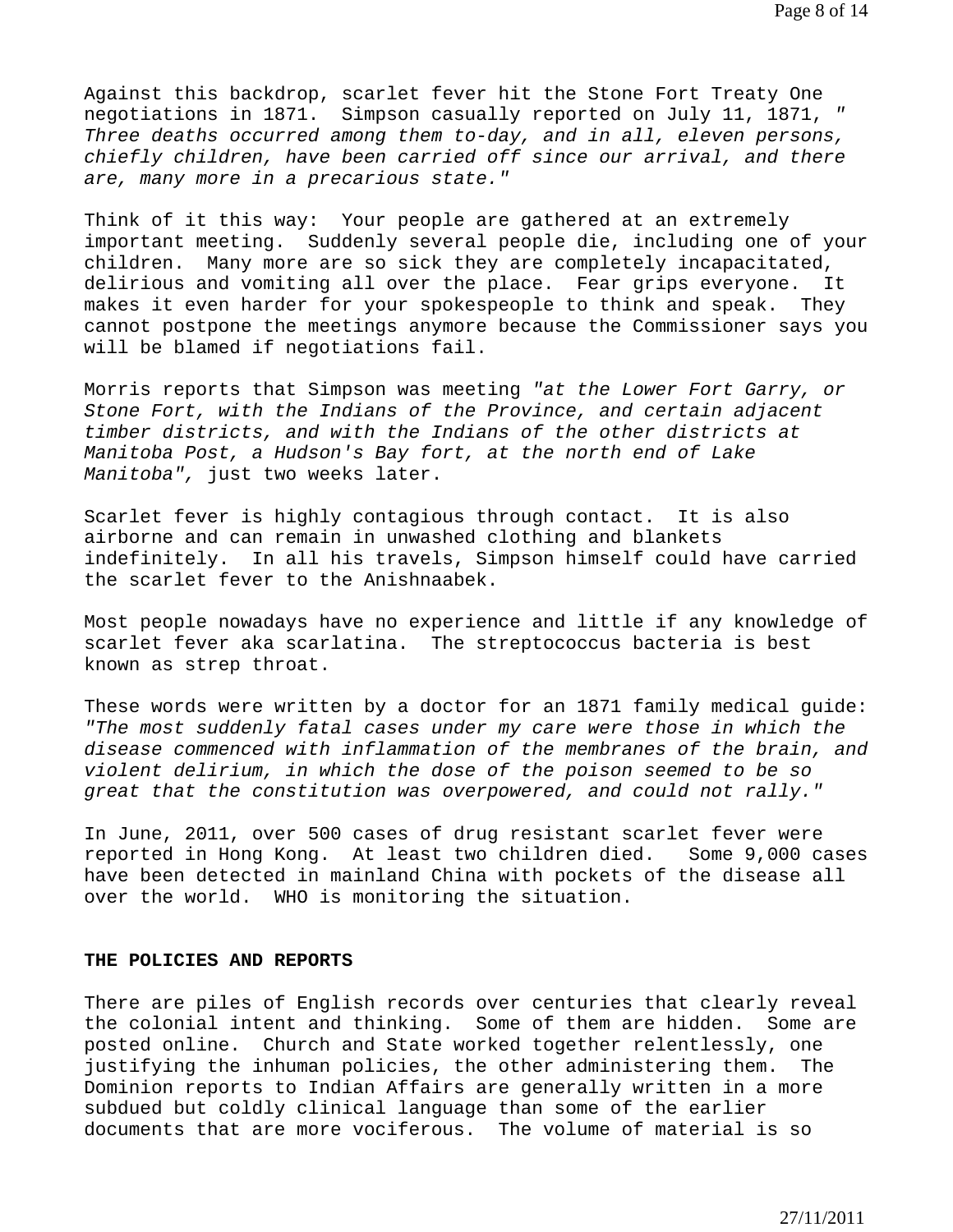Against this backdrop, scarlet fever hit the Stone Fort Treaty One negotiations in 1871. Simpson casually reported on July 11, 1871, *" Three deaths occurred among them to-day, and in all, eleven persons, chiefly children, have been carried off since our arrival, and there are, many more in a precarious state."* 

Think of it this way: Your people are gathered at an extremely important meeting. Suddenly several people die, including one of your children. Many more are so sick they are completely incapacitated, delirious and vomiting all over the place. Fear grips everyone. It makes it even harder for your spokespeople to think and speak. They cannot postpone the meetings anymore because the Commissioner says you will be blamed if negotiations fail.

Morris reports that Simpson was meeting *"at the Lower Fort Garry, or Stone Fort, with the Indians of the Province, and certain adjacent timber districts, and with the Indians of the other districts at Manitoba Post, a Hudson's Bay fort, at the north end of Lake Manitoba",* just two weeks later.

Scarlet fever is highly contagious through contact. It is also airborne and can remain in unwashed clothing and blankets indefinitely. In all his travels, Simpson himself could have carried the scarlet fever to the Anishnaabek.

Most people nowadays have no experience and little if any knowledge of scarlet fever aka scarlatina. The streptococcus bacteria is best known as strep throat.

These words were written by a doctor for an 1871 family medical guide: *"The most suddenly fatal cases under my care were those in which the disease commenced with inflammation of the membranes of the brain, and violent delirium, in which the dose of the poison seemed to be so great that the constitution was overpowered, and could not rally."* 

In June, 2011, over 500 cases of drug resistant scarlet fever were reported in Hong Kong. At least two children died. Some 9,000 cases have been detected in mainland China with pockets of the disease all over the world. WHO is monitoring the situation.

## **THE POLICIES AND REPORTS**

There are piles of English records over centuries that clearly reveal the colonial intent and thinking. Some of them are hidden. Some are posted online. Church and State worked together relentlessly, one justifying the inhuman policies, the other administering them. The Dominion reports to Indian Affairs are generally written in a more subdued but coldly clinical language than some of the earlier documents that are more vociferous. The volume of material is so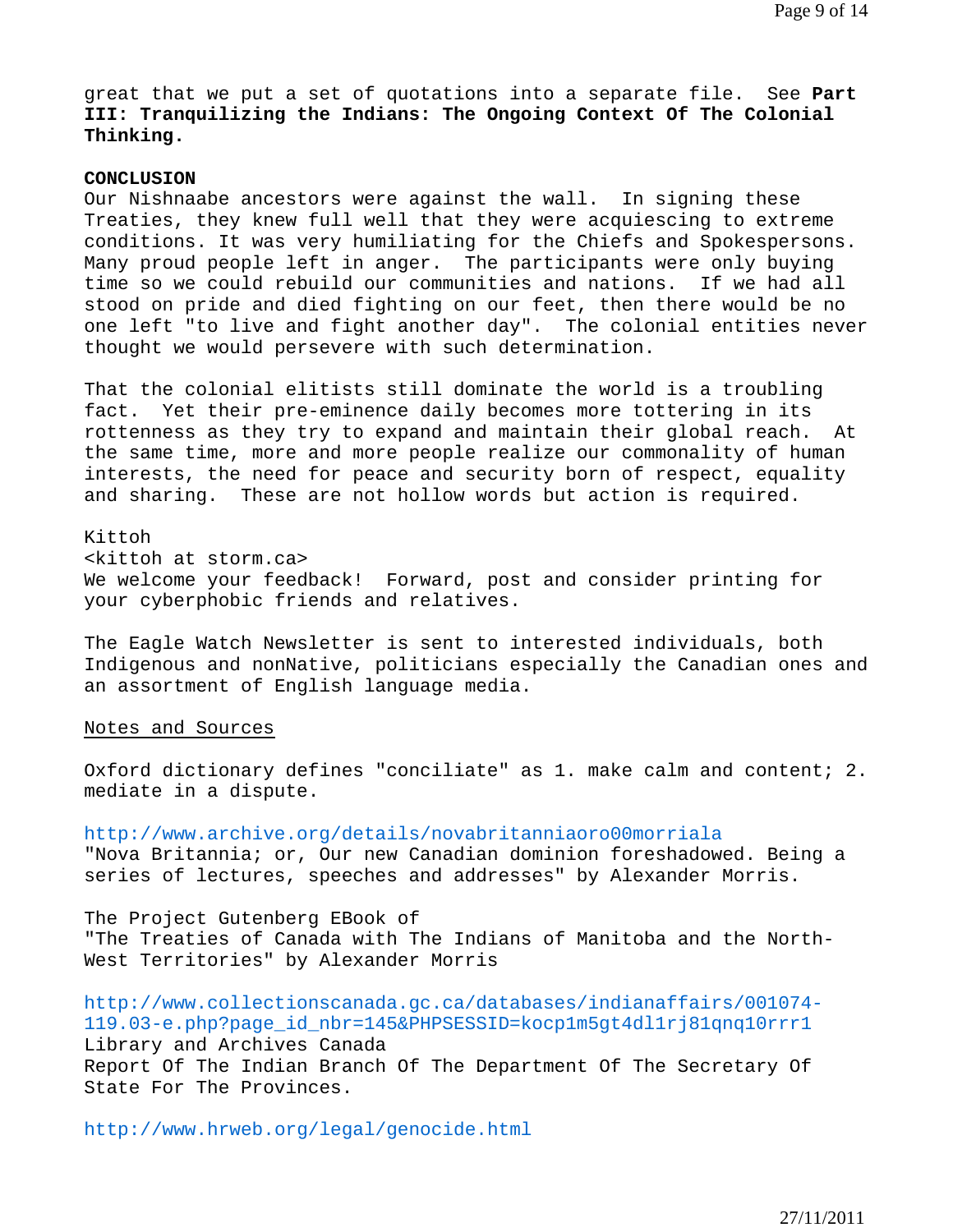great that we put a set of quotations into a separate file. See **Part III: Tranquilizing the Indians: The Ongoing Context Of The Colonial Thinking.** 

## **CONCLUSION**

Our Nishnaabe ancestors were against the wall. In signing these Treaties, they knew full well that they were acquiescing to extreme conditions. It was very humiliating for the Chiefs and Spokespersons. Many proud people left in anger. The participants were only buying time so we could rebuild our communities and nations. If we had all stood on pride and died fighting on our feet, then there would be no one left "to live and fight another day". The colonial entities never thought we would persevere with such determination.

That the colonial elitists still dominate the world is a troubling fact. Yet their pre-eminence daily becomes more tottering in its rottenness as they try to expand and maintain their global reach. At the same time, more and more people realize our commonality of human interests, the need for peace and security born of respect, equality and sharing. These are not hollow words but action is required.

Kittoh <kittoh at storm.ca> We welcome your feedback! Forward, post and consider printing for your cyberphobic friends and relatives.

The Eagle Watch Newsletter is sent to interested individuals, both Indigenous and nonNative, politicians especially the Canadian ones and an assortment of English language media.

## Notes and Sources

Oxford dictionary defines "conciliate" as 1. make calm and content; 2. mediate in a dispute.

http://www.archive.org/details/novabritanniaoro00morriala "Nova Britannia; or, Our new Canadian dominion foreshadowed. Being a series of lectures, speeches and addresses" by Alexander Morris.

The Project Gutenberg EBook of "The Treaties of Canada with The Indians of Manitoba and the North-West Territories" by Alexander Morris

http://www.collectionscanada.gc.ca/databases/indianaffairs/001074- 119.03-e.php?page\_id\_nbr=145&PHPSESSID=kocp1m5gt4dl1rj81qnq10rrr1 Library and Archives Canada Report Of The Indian Branch Of The Department Of The Secretary Of State For The Provinces.

http://www.hrweb.org/legal/genocide.html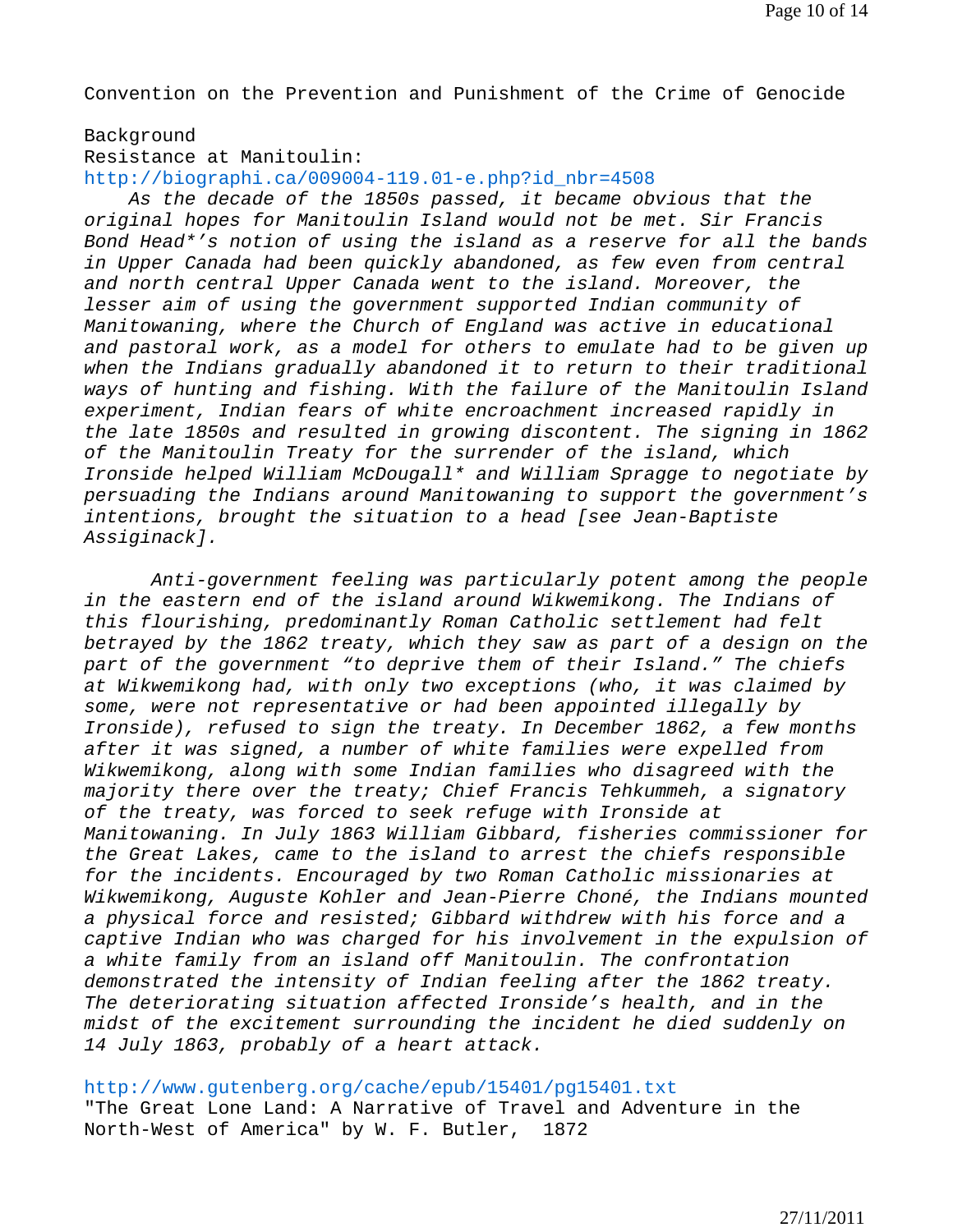Convention on the Prevention and Punishment of the Crime of Genocide

#### Background

Resistance at Manitoulin:

### http://biographi.ca/009004-119.01-e.php?id\_nbr=4508

 *As the decade of the 1850s passed, it became obvious that the original hopes for Manitoulin Island would not be met. Sir Francis Bond Head\*'s notion of using the island as a reserve for all the bands in Upper Canada had been quickly abandoned, as few even from central and north central Upper Canada went to the island. Moreover, the lesser aim of using the government supported Indian community of Manitowaning, where the Church of England was active in educational and pastoral work, as a model for others to emulate had to be given up when the Indians gradually abandoned it to return to their traditional ways of hunting and fishing. With the failure of the Manitoulin Island experiment, Indian fears of white encroachment increased rapidly in the late 1850s and resulted in growing discontent. The signing in 1862 of the Manitoulin Treaty for the surrender of the island, which Ironside helped William McDougall\* and William Spragge to negotiate by persuading the Indians around Manitowaning to support the government's intentions, brought the situation to a head [see Jean-Baptiste Assiginack].* 

 *Anti-government feeling was particularly potent among the people in the eastern end of the island around Wikwemikong. The Indians of this flourishing, predominantly Roman Catholic settlement had felt betrayed by the 1862 treaty, which they saw as part of a design on the part of the government "to deprive them of their Island." The chiefs at Wikwemikong had, with only two exceptions (who, it was claimed by some, were not representative or had been appointed illegally by Ironside), refused to sign the treaty. In December 1862, a few months after it was signed, a number of white families were expelled from Wikwemikong, along with some Indian families who disagreed with the majority there over the treaty; Chief Francis Tehkummeh, a signatory of the treaty, was forced to seek refuge with Ironside at Manitowaning. In July 1863 William Gibbard, fisheries commissioner for the Great Lakes, came to the island to arrest the chiefs responsible for the incidents. Encouraged by two Roman Catholic missionaries at Wikwemikong, Auguste Kohler and Jean-Pierre Choné, the Indians mounted a physical force and resisted; Gibbard withdrew with his force and a captive Indian who was charged for his involvement in the expulsion of a white family from an island off Manitoulin. The confrontation demonstrated the intensity of Indian feeling after the 1862 treaty. The deteriorating situation affected Ironside's health, and in the midst of the excitement surrounding the incident he died suddenly on 14 July 1863, probably of a heart attack.* 

#### http://www.gutenberg.org/cache/epub/15401/pg15401.txt

"The Great Lone Land: A Narrative of Travel and Adventure in the North-West of America" by W. F. Butler, 1872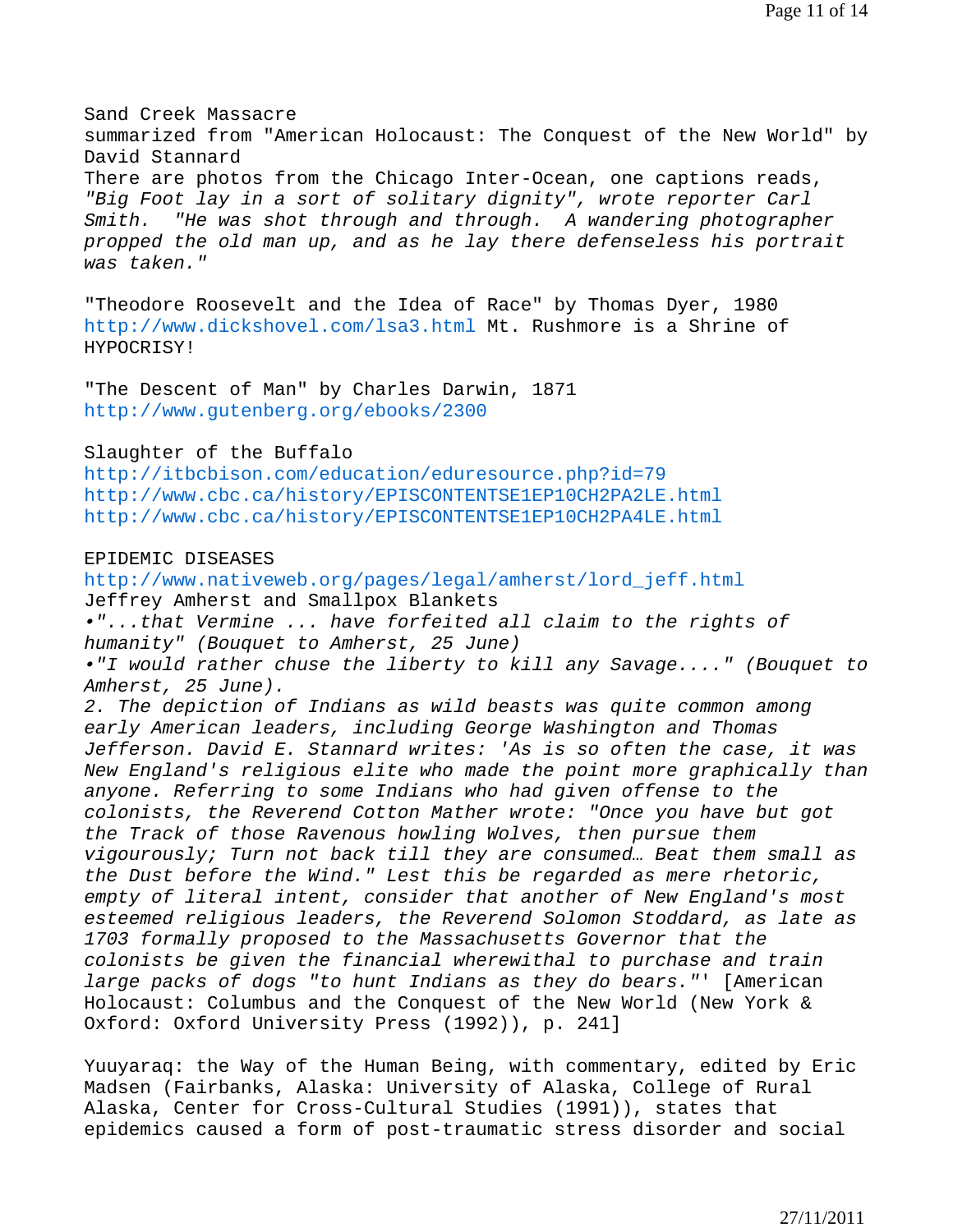Sand Creek Massacre summarized from "American Holocaust: The Conquest of the New World" by David Stannard There are photos from the Chicago Inter-Ocean, one captions reads, *"Big Foot lay in a sort of solitary dignity", wrote reporter Carl Smith. "He was shot through and through. A wandering photographer propped the old man up, and as he lay there defenseless his portrait was taken."* 

"Theodore Roosevelt and the Idea of Race" by Thomas Dyer, 1980 http://www.dickshovel.com/lsa3.html Mt. Rushmore is a Shrine of HYPOCRISY!

"The Descent of Man" by Charles Darwin, 1871 http://www.gutenberg.org/ebooks/2300

## Slaughter of the Buffalo

http://itbcbison.com/education/eduresource.php?id=79 http://www.cbc.ca/history/EPISCONTENTSE1EP10CH2PA2LE.html http://www.cbc.ca/history/EPISCONTENTSE1EP10CH2PA4LE.html

## EPIDEMIC DISEASES

http://www.nativeweb.org/pages/legal/amherst/lord\_jeff.html Jeffrey Amherst and Smallpox Blankets *•"...that Vermine ... have forfeited all claim to the rights of humanity" (Bouquet to Amherst, 25 June) •"I would rather chuse the liberty to kill any Savage...." (Bouquet to Amherst, 25 June). 2. The depiction of Indians as wild beasts was quite common among early American leaders, including George Washington and Thomas Jefferson. David E. Stannard writes: 'As is so often the case, it was New England's religious elite who made the point more graphically than anyone. Referring to some Indians who had given offense to the colonists, the Reverend Cotton Mather wrote: "Once you have but got the Track of those Ravenous howling Wolves, then pursue them vigourously; Turn not back till they are consumed… Beat them small as the Dust before the Wind." Lest this be regarded as mere rhetoric, empty of literal intent, consider that another of New England's most esteemed religious leaders, the Reverend Solomon Stoddard, as late as 1703 formally proposed to the Massachusetts Governor that the colonists be given the financial wherewithal to purchase and train large packs of dogs "to hunt Indians as they do bears."*' [American Holocaust: Columbus and the Conquest of the New World (New York & Oxford: Oxford University Press (1992)), p. 241]

Yuuyaraq: the Way of the Human Being, with commentary, edited by Eric Madsen (Fairbanks, Alaska: University of Alaska, College of Rural Alaska, Center for Cross-Cultural Studies (1991)), states that epidemics caused a form of post-traumatic stress disorder and social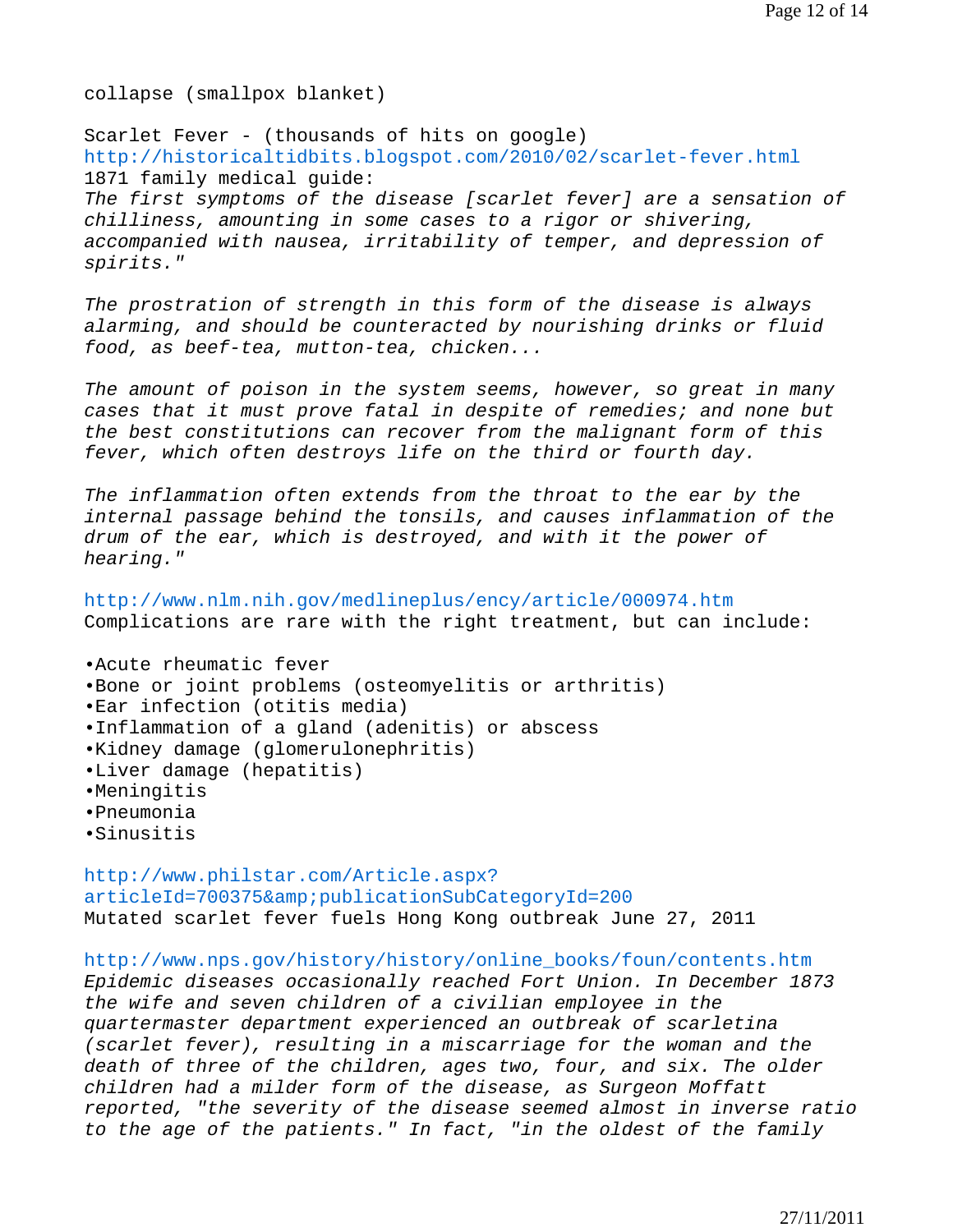collapse (smallpox blanket)

Scarlet Fever - (thousands of hits on google) http://historicaltidbits.blogspot.com/2010/02/scarlet-fever.html 1871 family medical guide: *The first symptoms of the disease [scarlet fever] are a sensation of chilliness, amounting in some cases to a rigor or shivering, accompanied with nausea, irritability of temper, and depression of spirits."* 

*The prostration of strength in this form of the disease is always alarming, and should be counteracted by nourishing drinks or fluid food, as beef-tea, mutton-tea, chicken...* 

*The amount of poison in the system seems, however, so great in many cases that it must prove fatal in despite of remedies; and none but the best constitutions can recover from the malignant form of this fever, which often destroys life on the third or fourth day.* 

*The inflammation often extends from the throat to the ear by the internal passage behind the tonsils, and causes inflammation of the drum of the ear, which is destroyed, and with it the power of hearing."* 

http://www.nlm.nih.gov/medlineplus/ency/article/000974.htm Complications are rare with the right treatment, but can include:

•Acute rheumatic fever •Bone or joint problems (osteomyelitis or arthritis) •Ear infection (otitis media) •Inflammation of a gland (adenitis) or abscess •Kidney damage (glomerulonephritis) •Liver damage (hepatitis) •Meningitis •Pneumonia •Sinusitis

http://www.philstar.com/Article.aspx? articleId=700375& publicationSubCategoryId=200 Mutated scarlet fever fuels Hong Kong outbreak June 27, 2011

http://www.nps.gov/history/history/online\_books/foun/contents.htm *Epidemic diseases occasionally reached Fort Union. In December 1873 the wife and seven children of a civilian employee in the quartermaster department experienced an outbreak of scarletina (scarlet fever), resulting in a miscarriage for the woman and the death of three of the children, ages two, four, and six. The older children had a milder form of the disease, as Surgeon Moffatt reported, "the severity of the disease seemed almost in inverse ratio to the age of the patients." In fact, "in the oldest of the family*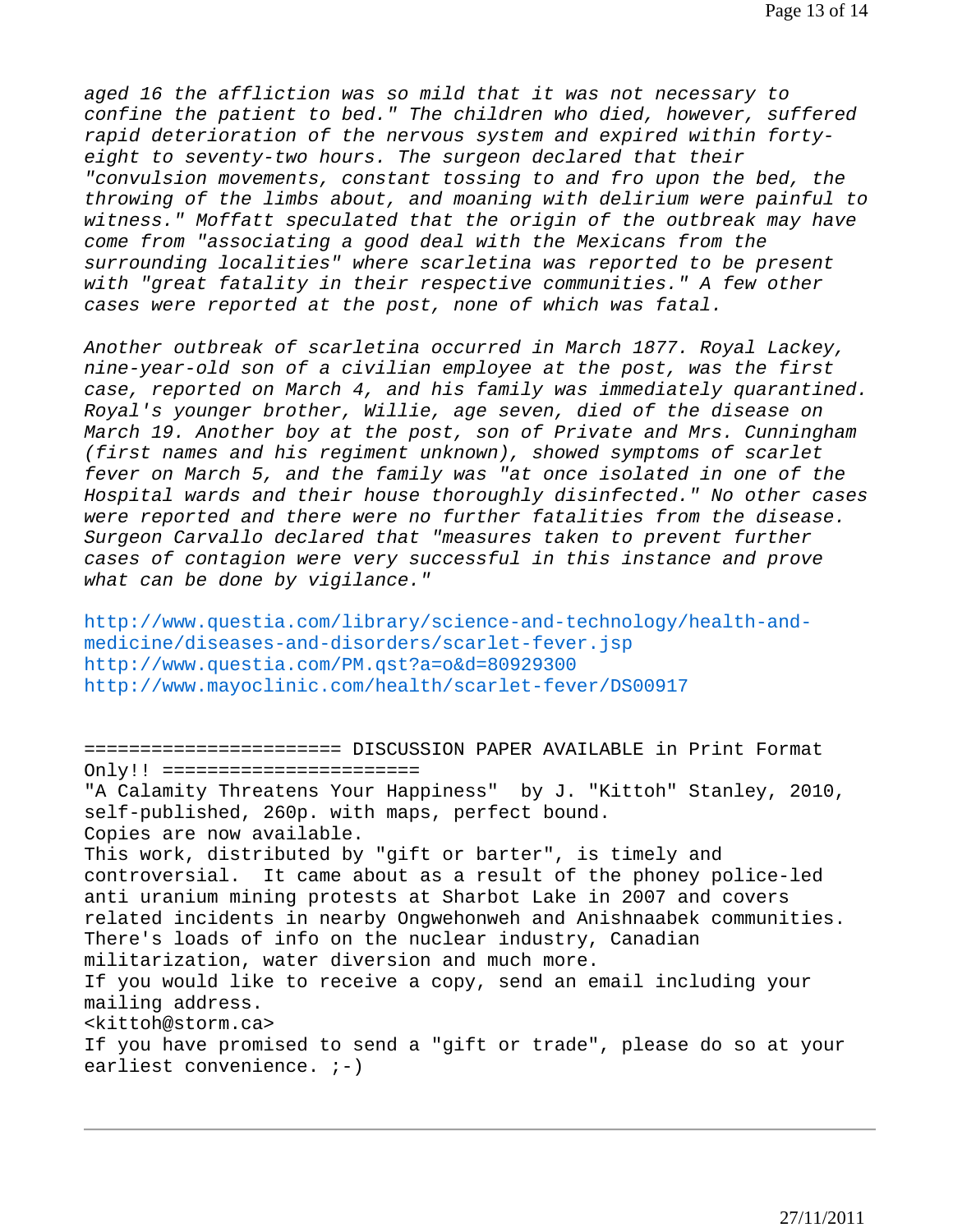*aged 16 the affliction was so mild that it was not necessary to confine the patient to bed." The children who died, however, suffered rapid deterioration of the nervous system and expired within fortyeight to seventy-two hours. The surgeon declared that their "convulsion movements, constant tossing to and fro upon the bed, the throwing of the limbs about, and moaning with delirium were painful to witness." Moffatt speculated that the origin of the outbreak may have come from "associating a good deal with the Mexicans from the surrounding localities" where scarletina was reported to be present with "great fatality in their respective communities." A few other cases were reported at the post, none of which was fatal.* 

*Another outbreak of scarletina occurred in March 1877. Royal Lackey, nine-year-old son of a civilian employee at the post, was the first case, reported on March 4, and his family was immediately quarantined. Royal's younger brother, Willie, age seven, died of the disease on March 19. Another boy at the post, son of Private and Mrs. Cunningham (first names and his regiment unknown), showed symptoms of scarlet fever on March 5, and the family was "at once isolated in one of the Hospital wards and their house thoroughly disinfected." No other cases were reported and there were no further fatalities from the disease. Surgeon Carvallo declared that "measures taken to prevent further cases of contagion were very successful in this instance and prove what can be done by vigilance."* 

http://www.questia.com/library/science-and-technology/health-andmedicine/diseases-and-disorders/scarlet-fever.jsp http://www.questia.com/PM.qst?a=o&d=80929300 http://www.mayoclinic.com/health/scarlet-fever/DS00917

======================= DISCUSSION PAPER AVAILABLE in Print Format Only!! ======================= "A Calamity Threatens Your Happiness" by J. "Kittoh" Stanley, 2010, self-published, 260p. with maps, perfect bound. Copies are now available. This work, distributed by "gift or barter", is timely and controversial. It came about as a result of the phoney police-led anti uranium mining protests at Sharbot Lake in 2007 and covers related incidents in nearby Ongwehonweh and Anishnaabek communities. There's loads of info on the nuclear industry, Canadian militarization, water diversion and much more. If you would like to receive a copy, send an email including your mailing address. <kittoh@storm.ca> If you have promised to send a "gift or trade", please do so at your earliest convenience.  $i-j$